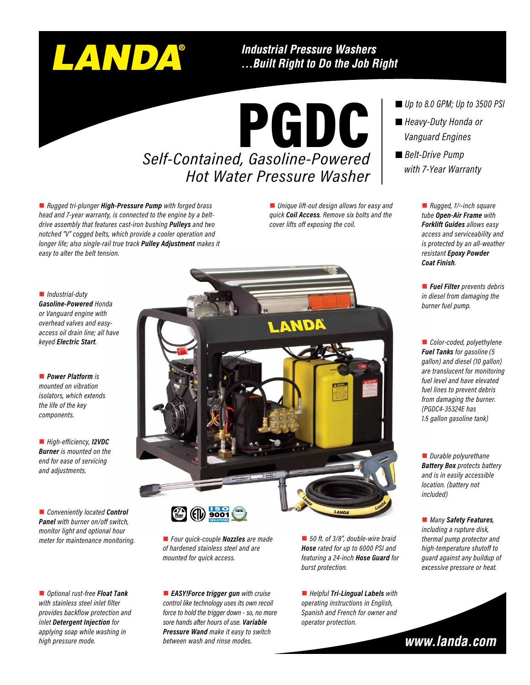# LANDA®

**Industrial Pressure Washers** ... Built Right to Do the Job Right

## PGDC *Self-Contained, Gasoline-Powered Hot Water Pressure Washer*

■ *Rugged tri-plunger High-Pressure Pump with forged brass head and 7-year warranty, is connected to the engine by a beltdrive assembly that features cast-iron bushing Pulleys and two notched "V" cogged belts, which provide a cooler operation and longer life; also single-rail true track Pulley Adjustment makes it easy to alter the belt tension.*

■ *Unique lift-out design allows for easy and quick Coil Access. Remove six bolts and the cover lifts off exposing the coil.*

n *Industrial-duty Gasoline-Powered Honda or Vanguard engine with overhead valves and easyaccess oil drain line; all have keyed Electric Start.*

**n** *Power Platform is mounted on vibration isolators, which extends the life of the key components.*

■ *High-efficiency*, **12VDC** *Burner is mounted on the end for ease of servicing and adjustments.*

■ *Conveniently located Control Panel with burner on/off switch, monitor light and optional hour meter for maintenance monitoring.*

■ *Optional rust-free Float Tank with stainless steel inlet filter provides backflow protection and inlet Detergent Injection for applying soap while washing in high pressure mode.*



n *Four quick-couple Nozzles are made of hardened stainless steel and are mounted for quick access.*

**EASY!Force trigger gun** with cruise *control like technology uses its own recoil force to hold the trigger down - so, no more sore hands after hours of use. Variable Pressure Wand make it easy to switch between wash and rinse modes.*

■ 50 ft. of 3/8", double-wire braid *Hose rated for up to 6000 PSI and featuring a 24-inch Hose Guard for burst protection.*

■ *Helpful Tri-Lingual Labels* with *operating instructions in English, Spanish and French for owner and operator protection.*

*Up to 8.0 GPM; Up to 3500 PSI*

- *Heavy-Duty Honda or Vanguard Engines*
- *Belt-Drive Pump with 7-Year Warranty*

■ *Rugged, 1/<sup>2</sup>-inch square tube Open-Air Frame with Forklift Guides allows easy access and serviceability and is protected by an all-weather resistant Epoxy Powder Coat Finish.*

■ *Fuel Filter prevents debris in diesel from damaging the burner fuel pump.*

■ *Color-coded, polyethylene Fuel Tanks for gasoline (5 gallon) and diesel (10 gallon) are translucent for monitoring fuel level and have elevated fuel lines to prevent debris from damaging the burner. (PGDC4-35324E has 1.5 gallon gasoline tank)*

**n** *Durable polyurethane Battery Box protects battery and is in easily accessible location. (battery not included)*

■ *Many Safety Features*, *including a rupture disk, thermal pump protector and high-temperature shutoff to guard against any buildup of excessive pressure or heat.*